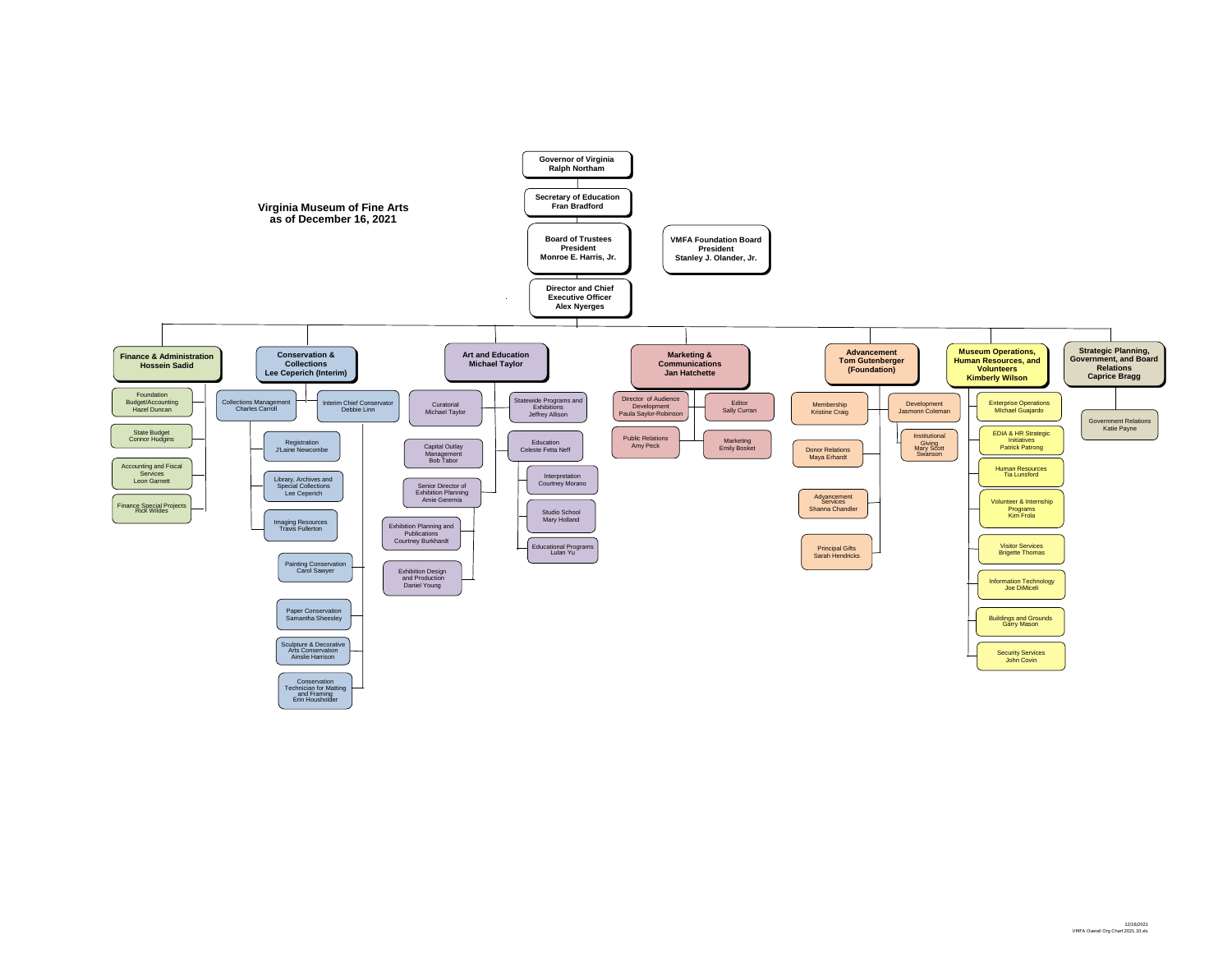